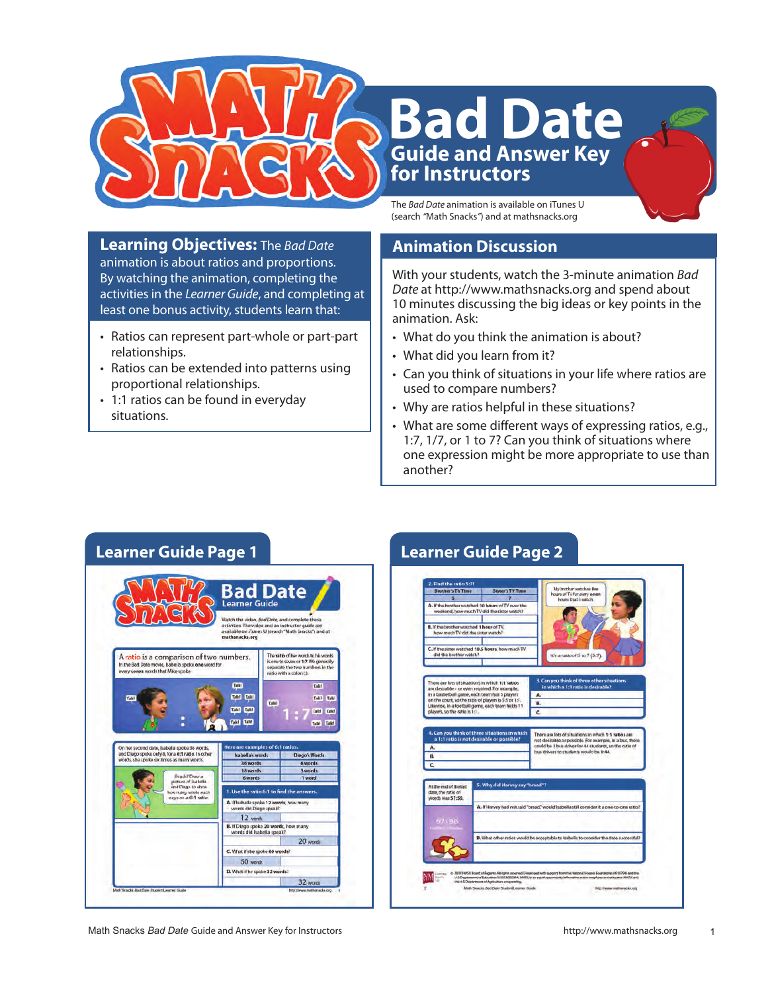

# **Guide and Answer Key for Instructors Bad Date**

The *Bad Date* animation is available on iTunes U (search *"*Math Snacks*"*) and at mathsnacks.org

#### **Learning Objectives:** The *Bad Date* animation is about ratios and proportions. By watching the animation, completing the activities in the *Learner Guide*, and completing at least one bonus activity, students learn that:

- Ratios can represent part-whole or part-part relationships.
- Ratios can be extended into patterns using proportional relationships.
- 1:1 ratios can be found in everyday situations.

## **Animation Discussion**

With your students, watch the 3-minute animation *Bad Date* at http://www.mathsnacks.org and spend about 10 minutes discussing the big ideas or key points in the animation. Ask:

- What do you think the animation is about?
- What did you learn from it?
- Can you think of situations in your life where ratios are used to compare numbers?
- Why are ratios helpful in these situations?
- What are some different ways of expressing ratios, e.g., 1:7, 1/7, or 1 to 7? Can you think of situations where one expression might be more appropriate to use than another?



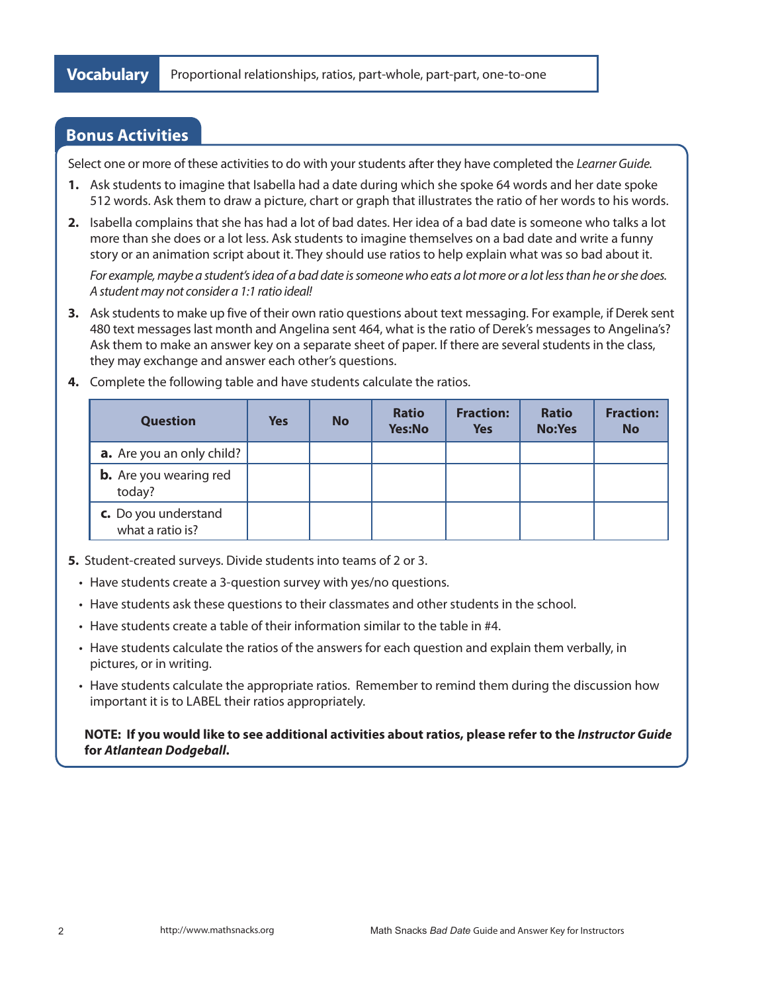#### **Bonus Activities**

Select one or more of these activities to do with your students after they have completed the *Learner Guide.*

- **1.** Ask students to imagine that Isabella had a date during which she spoke 64 words and her date spoke 512 words. Ask them to draw a picture, chart or graph that illustrates the ratio of her words to his words.
- **2.** Isabella complains that she has had a lot of bad dates. Her idea of a bad date is someone who talks a lot more than she does or a lot less. Ask students to imagine themselves on a bad date and write a funny story or an animation script about it. They should use ratios to help explain what was so bad about it.

*For example, maybe a student's idea of a bad date is someone who eats a lot more or a lot less than he or she does. A student may not consider a 1:1 ratio ideal!*

**3.** Ask students to make up five of their own ratio questions about text messaging. For example, if Derek sent 480 text messages last month and Angelina sent 464, what is the ratio of Derek's messages to Angelina's? Ask them to make an answer key on a separate sheet of paper. If there are several students in the class, they may exchange and answer each other's questions.

| <b>Question</b>                          | <b>Yes</b> | <b>No</b> | <b>Ratio</b><br><b>Yes:No</b> | <b>Fraction:</b><br><b>Yes</b> | <b>Ratio</b><br><b>No:Yes</b> | <b>Fraction:</b><br><b>No</b> |
|------------------------------------------|------------|-----------|-------------------------------|--------------------------------|-------------------------------|-------------------------------|
| <b>a.</b> Are you an only child?         |            |           |                               |                                |                               |                               |
| <b>b.</b> Are you wearing red<br>today?  |            |           |                               |                                |                               |                               |
| c. Do you understand<br>what a ratio is? |            |           |                               |                                |                               |                               |

**4.** Complete the following table and have students calculate the ratios.

- **5.** Student-created surveys. Divide students into teams of 2 or 3.
	- Have students create a 3-question survey with yes/no questions.
	- • Have students ask these questions to their classmates and other students in the school.
	- Have students create a table of their information similar to the table in #4.
	- • Have students calculate the ratios of the answers for each question and explain them verbally, in pictures, or in writing.
	- Have students calculate the appropriate ratios. Remember to remind them during the discussion how important it is to LABEL their ratios appropriately.

**NOTE: If you would like to see additional activities about ratios, please refer to the** *Instructor Guide* **for** *Atlantean Dodgeball***.**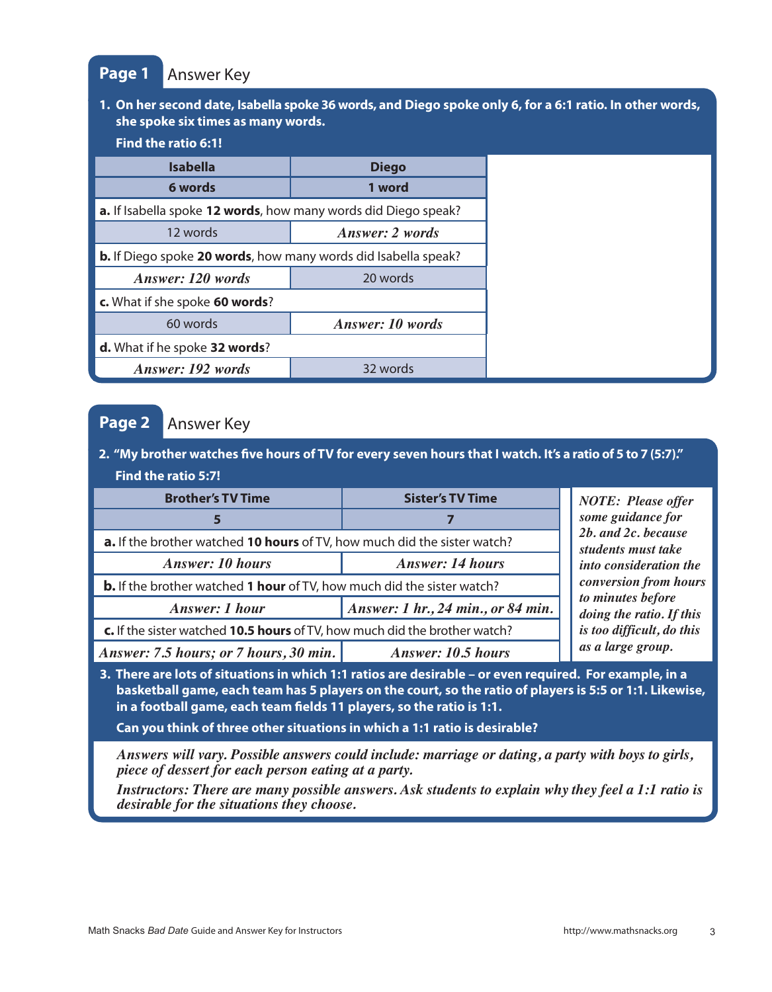#### **Page 1** Answer Key

#### **1. On her second date, Isabella spoke 36 words, and Diego spoke only 6, for a 6:1 ratio. In other words, she spoke six times as many words.**

#### **Find the ratio 6:1!**

| <b>Isabella</b>                                                       | <b>Diego</b>            |  |
|-----------------------------------------------------------------------|-------------------------|--|
| 6 words                                                               | 1 word                  |  |
| a. If Isabella spoke 12 words, how many words did Diego speak?        |                         |  |
| 12 words                                                              | <b>Answer: 2 words</b>  |  |
| <b>b.</b> If Diego spoke 20 words, how many words did Isabella speak? |                         |  |
| Answer: 120 words                                                     | 20 words                |  |
| c. What if she spoke 60 words?                                        |                         |  |
| 60 words                                                              | <b>Answer: 10 words</b> |  |
| d. What if he spoke 32 words?                                         |                         |  |
| Answer: 192 words                                                     | 32 words                |  |

#### **Page 2**  Answer Key

#### **2. "My brother watches five hours of TV for every seven hours that I watch. It's a ratio of 5 to 7 (5:7)." Find the ratio 5:7!**

| <b>Brother's TV Time</b>                                                      | <b>Sister's TV Time</b>                   | <b>NOTE: Please offer</b><br>some guidance for |  |
|-------------------------------------------------------------------------------|-------------------------------------------|------------------------------------------------|--|
|                                                                               |                                           |                                                |  |
| a. If the brother watched 10 hours of TV, how much did the sister watch?      | 2b. and 2c. because<br>students must take |                                                |  |
| <b>Answer: 10 hours</b>                                                       | <b>Answer: 14 hours</b>                   | into consideration the                         |  |
| <b>b.</b> If the brother watched 1 hour of TV, how much did the sister watch? | conversion from hours                     |                                                |  |
| <b>Answer: 1 hour</b>                                                         | Answer: 1 hr., 24 min., or 84 min.        | to minutes before<br>doing the ratio. If this  |  |
| c. If the sister watched 10.5 hours of TV, how much did the brother watch?    | is too difficult, do this                 |                                                |  |
| Answer: 7.5 hours; or 7 hours, 30 min.<br><b>Answer: 10.5 hours</b>           |                                           | as a large group.                              |  |

**3. There are lots of situations in which 1:1 ratios are desirable – or even required. For example, in a basketball game, each team has 5 players on the court, so the ratio of players is 5:5 or 1:1. Likewise, in a football game, each team fields 11 players, so the ratio is 1:1.** 

**Can you think of three other situations in which a 1:1 ratio is desirable?** 

*Answers will vary. Possible answers could include: marriage or dating, a party with boys to girls, piece of dessert for each person eating at a party.* 

*Instructors: There are many possible answers. Ask students to explain why they feel a 1:1 ratio is desirable for the situations they choose.*